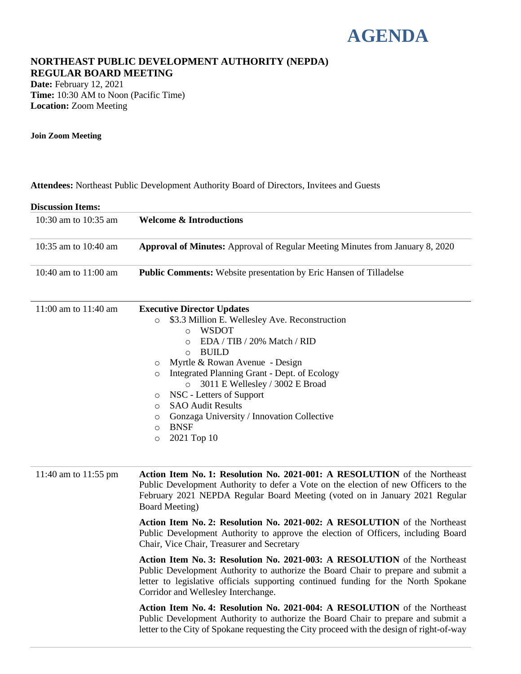## **AGENDA**

#### **NORTHEAST PUBLIC DEVELOPMENT AUTHORITY (NEPDA) REGULAR BOARD MEETING**

**Date:** February 12, 2021 **Time:** 10:30 AM to Noon (Pacific Time) **Location:** Zoom Meeting

**Join Zoom Meeting**

**Attendees:** Northeast Public Development Authority Board of Directors, Invitees and Guests

| <b>Discussion Items:</b> |                                                                                                                                                                                                                                                                                                                                                                                                                                                                                                                                      |
|--------------------------|--------------------------------------------------------------------------------------------------------------------------------------------------------------------------------------------------------------------------------------------------------------------------------------------------------------------------------------------------------------------------------------------------------------------------------------------------------------------------------------------------------------------------------------|
| 10:30 am to 10:35 am     | <b>Welcome &amp; Introductions</b>                                                                                                                                                                                                                                                                                                                                                                                                                                                                                                   |
| 10:35 am to 10:40 am     | <b>Approval of Minutes:</b> Approval of Regular Meeting Minutes from January 8, 2020                                                                                                                                                                                                                                                                                                                                                                                                                                                 |
| 10:40 am to $11:00$ am   | <b>Public Comments:</b> Website presentation by Eric Hansen of Tilladelse                                                                                                                                                                                                                                                                                                                                                                                                                                                            |
| 11:00 am to $11:40$ am   | <b>Executive Director Updates</b><br>\$3.3 Million E. Wellesley Ave. Reconstruction<br>$\circ$<br><b>WSDOT</b><br>$\Omega$<br>EDA / TIB / 20% Match / RID<br>$\bigcap$<br><b>BUILD</b><br>$\bigcirc$<br>Myrtle & Rowan Avenue - Design<br>$\circ$<br>Integrated Planning Grant - Dept. of Ecology<br>$\circ$<br>3011 E Wellesley / 3002 E Broad<br>$\circ$<br>NSC - Letters of Support<br>$\circ$<br><b>SAO Audit Results</b><br>$\Omega$<br>Gonzaga University / Innovation Collective<br>O<br><b>BNSF</b><br>O<br>2021 Top 10<br>O |

11:40 am to 11:55 pm **Action Item No. 1: Resolution No. 2021-001: A RESOLUTION** of the Northeast Public Development Authority to defer a Vote on the election of new Officers to the February 2021 NEPDA Regular Board Meeting (voted on in January 2021 Regular Board Meeting) **Action Item No. 2: Resolution No. 2021-002: A RESOLUTION** of the Northeast Public Development Authority to approve the election of Officers, including Board Chair, Vice Chair, Treasurer and Secretary **Action Item No. 3: Resolution No. 2021-003: A RESOLUTION** of the Northeast

Public Development Authority to authorize the Board Chair to prepare and submit a letter to legislative officials supporting continued funding for the North Spokane Corridor and Wellesley Interchange.

**Action Item No. 4: Resolution No. 2021-004: A RESOLUTION** of the Northeast Public Development Authority to authorize the Board Chair to prepare and submit a letter to the City of Spokane requesting the City proceed with the design of right-of-way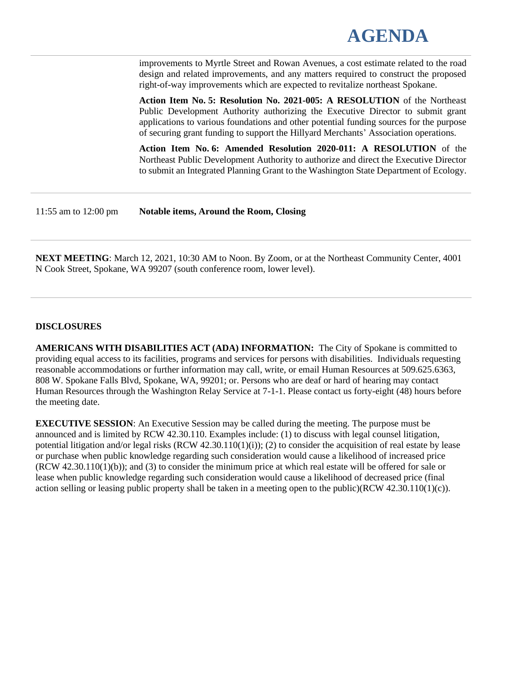# **AGENDA**

improvements to Myrtle Street and Rowan Avenues, a cost estimate related to the road design and related improvements, and any matters required to construct the proposed right-of-way improvements which are expected to revitalize northeast Spokane.

**Action Item No. 5: Resolution No. 2021-005: A RESOLUTION** of the Northeast Public Development Authority authorizing the Executive Director to submit grant applications to various foundations and other potential funding sources for the purpose of securing grant funding to support the Hillyard Merchants' Association operations.

**Action Item No. 6: Amended Resolution 2020-011: A RESOLUTION** of the Northeast Public Development Authority to authorize and direct the Executive Director to submit an Integrated Planning Grant to the Washington State Department of Ecology.

11:55 am to 12:00 pm **Notable items, Around the Room, Closing**

**NEXT MEETING**: March 12, 2021, 10:30 AM to Noon. By Zoom, or at the Northeast Community Center, 4001 N Cook Street, Spokane, WA 99207 (south conference room, lower level).

#### **DISCLOSURES**

**AMERICANS WITH DISABILITIES ACT (ADA) INFORMATION:** The City of Spokane is committed to providing equal access to its facilities, programs and services for persons with disabilities. Individuals requesting reasonable accommodations or further information may call, write, or email Human Resources at 509.625.6363, 808 W. Spokane Falls Blvd, Spokane, WA, 99201; or. Persons who are deaf or hard of hearing may contact Human Resources through the Washington Relay Service at 7-1-1. Please contact us forty-eight (48) hours before the meeting date.

**EXECUTIVE SESSION**: An Executive Session may be called during the meeting. The purpose must be announced and is limited by RCW 42.30.110. Examples include: (1) to discuss with legal counsel litigation, potential litigation and/or legal risks  $(RCW 42.30.110(1)(i))$ ; (2) to consider the acquisition of real estate by lease or purchase when public knowledge regarding such consideration would cause a likelihood of increased price (RCW 42.30.110(1)(b)); and (3) to consider the minimum price at which real estate will be offered for sale or lease when public knowledge regarding such consideration would cause a likelihood of decreased price (final action selling or leasing public property shall be taken in a meeting open to the public)(RCW 42.30.110(1)(c)).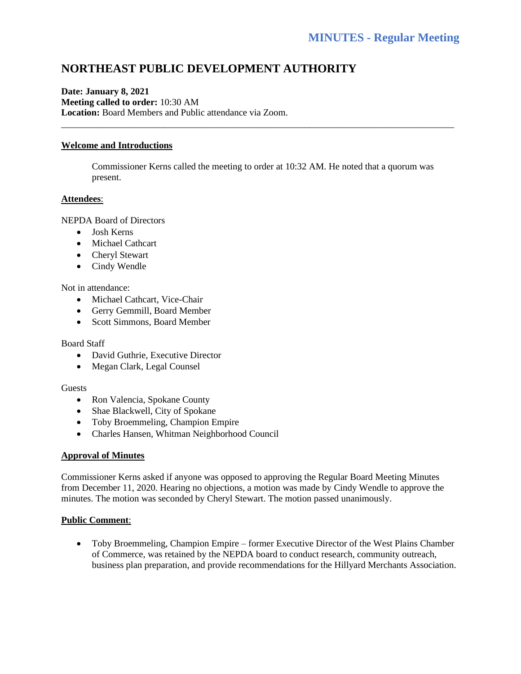### **NORTHEAST PUBLIC DEVELOPMENT AUTHORITY**

#### **Date: January 8, 2021 Meeting called to order:** 10:30 AM **Location:** Board Members and Public attendance via Zoom.

#### **Welcome and Introductions**

Commissioner Kerns called the meeting to order at 10:32 AM. He noted that a quorum was present.

\_\_\_\_\_\_\_\_\_\_\_\_\_\_\_\_\_\_\_\_\_\_\_\_\_\_\_\_\_\_\_\_\_\_\_\_\_\_\_\_\_\_\_\_\_\_\_\_\_\_\_\_\_\_\_\_\_\_\_\_\_\_\_\_\_\_\_\_\_\_\_\_\_\_\_\_\_\_\_\_\_\_\_\_

#### **Attendees**:

NEPDA Board of Directors

- Josh Kerns
- Michael Cathcart
- Cheryl Stewart
- Cindy Wendle

#### Not in attendance:

- Michael Cathcart, Vice-Chair
- Gerry Gemmill, Board Member
- Scott Simmons, Board Member

#### Board Staff

- David Guthrie, Executive Director
- Megan Clark, Legal Counsel

#### Guests

- Ron Valencia, Spokane County
- Shae Blackwell, City of Spokane
- Toby Broemmeling, Champion Empire
- Charles Hansen, Whitman Neighborhood Council

#### **Approval of Minutes**

Commissioner Kerns asked if anyone was opposed to approving the Regular Board Meeting Minutes from December 11, 2020. Hearing no objections, a motion was made by Cindy Wendle to approve the minutes. The motion was seconded by Cheryl Stewart. The motion passed unanimously.

#### **Public Comment**:

• Toby Broemmeling, Champion Empire – former Executive Director of the West Plains Chamber of Commerce, was retained by the NEPDA board to conduct research, community outreach, business plan preparation, and provide recommendations for the Hillyard Merchants Association.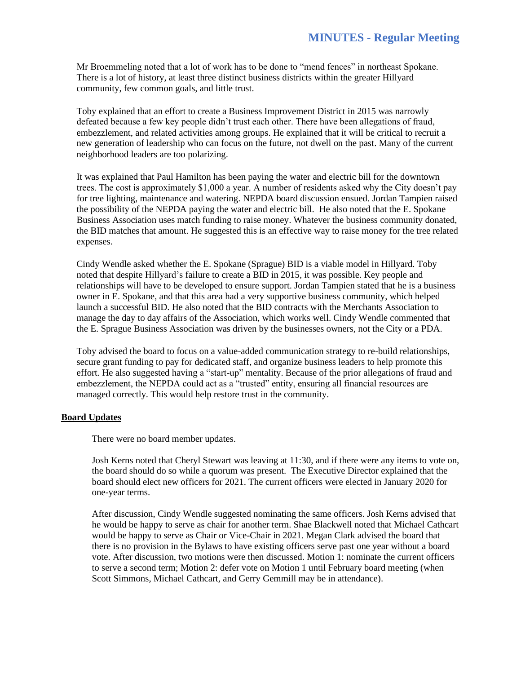Mr Broemmeling noted that a lot of work has to be done to "mend fences" in northeast Spokane. There is a lot of history, at least three distinct business districts within the greater Hillyard community, few common goals, and little trust.

Toby explained that an effort to create a Business Improvement District in 2015 was narrowly defeated because a few key people didn't trust each other. There have been allegations of fraud, embezzlement, and related activities among groups. He explained that it will be critical to recruit a new generation of leadership who can focus on the future, not dwell on the past. Many of the current neighborhood leaders are too polarizing.

It was explained that Paul Hamilton has been paying the water and electric bill for the downtown trees. The cost is approximately \$1,000 a year. A number of residents asked why the City doesn't pay for tree lighting, maintenance and watering. NEPDA board discussion ensued. Jordan Tampien raised the possibility of the NEPDA paying the water and electric bill. He also noted that the E. Spokane Business Association uses match funding to raise money. Whatever the business community donated, the BID matches that amount. He suggested this is an effective way to raise money for the tree related expenses.

Cindy Wendle asked whether the E. Spokane (Sprague) BID is a viable model in Hillyard. Toby noted that despite Hillyard's failure to create a BID in 2015, it was possible. Key people and relationships will have to be developed to ensure support. Jordan Tampien stated that he is a business owner in E. Spokane, and that this area had a very supportive business community, which helped launch a successful BID. He also noted that the BID contracts with the Merchants Association to manage the day to day affairs of the Association, which works well. Cindy Wendle commented that the E. Sprague Business Association was driven by the businesses owners, not the City or a PDA.

Toby advised the board to focus on a value-added communication strategy to re-build relationships, secure grant funding to pay for dedicated staff, and organize business leaders to help promote this effort. He also suggested having a "start-up" mentality. Because of the prior allegations of fraud and embezzlement, the NEPDA could act as a "trusted" entity, ensuring all financial resources are managed correctly. This would help restore trust in the community.

#### **Board Updates**

There were no board member updates.

Josh Kerns noted that Cheryl Stewart was leaving at 11:30, and if there were any items to vote on, the board should do so while a quorum was present. The Executive Director explained that the board should elect new officers for 2021. The current officers were elected in January 2020 for one-year terms.

After discussion, Cindy Wendle suggested nominating the same officers. Josh Kerns advised that he would be happy to serve as chair for another term. Shae Blackwell noted that Michael Cathcart would be happy to serve as Chair or Vice-Chair in 2021. Megan Clark advised the board that there is no provision in the Bylaws to have existing officers serve past one year without a board vote. After discussion, two motions were then discussed. Motion 1: nominate the current officers to serve a second term; Motion 2: defer vote on Motion 1 until February board meeting (when Scott Simmons, Michael Cathcart, and Gerry Gemmill may be in attendance).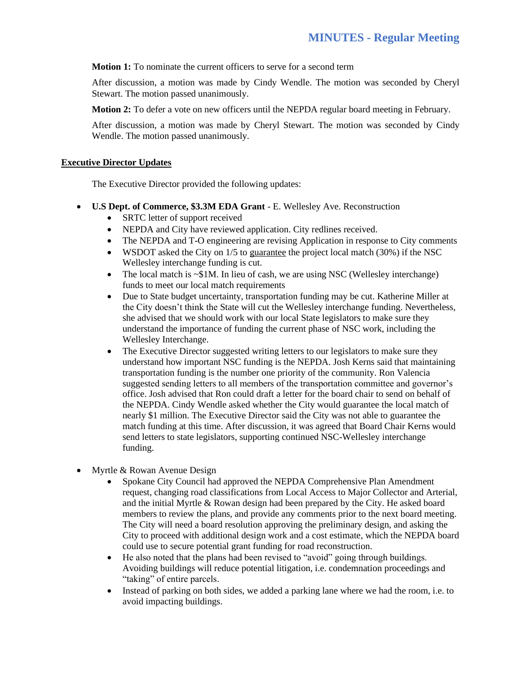**Motion 1:** To nominate the current officers to serve for a second term

After discussion, a motion was made by Cindy Wendle. The motion was seconded by Cheryl Stewart. The motion passed unanimously.

**Motion 2:** To defer a vote on new officers until the NEPDA regular board meeting in February.

After discussion, a motion was made by Cheryl Stewart. The motion was seconded by Cindy Wendle. The motion passed unanimously.

#### **Executive Director Updates**

The Executive Director provided the following updates:

- **U.S Dept. of Commerce, \$3.3M EDA Grant** E. Wellesley Ave. Reconstruction
	- SRTC letter of support received
	- NEPDA and City have reviewed application. City redlines received.
	- The NEPDA and T-O engineering are revising Application in response to City comments
	- WSDOT asked the City on  $1/5$  to guarantee the project local match (30%) if the NSC Wellesley interchange funding is cut.
	- The local match is  $\sim$  \$1M. In lieu of cash, we are using NSC (Wellesley interchange) funds to meet our local match requirements
	- Due to State budget uncertainty, transportation funding may be cut. Katherine Miller at the City doesn't think the State will cut the Wellesley interchange funding. Nevertheless, she advised that we should work with our local State legislators to make sure they understand the importance of funding the current phase of NSC work, including the Wellesley Interchange.
	- The Executive Director suggested writing letters to our legislators to make sure they understand how important NSC funding is the NEPDA. Josh Kerns said that maintaining transportation funding is the number one priority of the community. Ron Valencia suggested sending letters to all members of the transportation committee and governor's office. Josh advised that Ron could draft a letter for the board chair to send on behalf of the NEPDA. Cindy Wendle asked whether the City would guarantee the local match of nearly \$1 million. The Executive Director said the City was not able to guarantee the match funding at this time. After discussion, it was agreed that Board Chair Kerns would send letters to state legislators, supporting continued NSC-Wellesley interchange funding.
- Myrtle & Rowan Avenue Design
	- Spokane City Council had approved the NEPDA Comprehensive Plan Amendment request, changing road classifications from Local Access to Major Collector and Arterial, and the initial Myrtle & Rowan design had been prepared by the City. He asked board members to review the plans, and provide any comments prior to the next board meeting. The City will need a board resolution approving the preliminary design, and asking the City to proceed with additional design work and a cost estimate, which the NEPDA board could use to secure potential grant funding for road reconstruction.
	- He also noted that the plans had been revised to "avoid" going through buildings. Avoiding buildings will reduce potential litigation, i.e. condemnation proceedings and "taking" of entire parcels.
	- Instead of parking on both sides, we added a parking lane where we had the room, i.e. to avoid impacting buildings.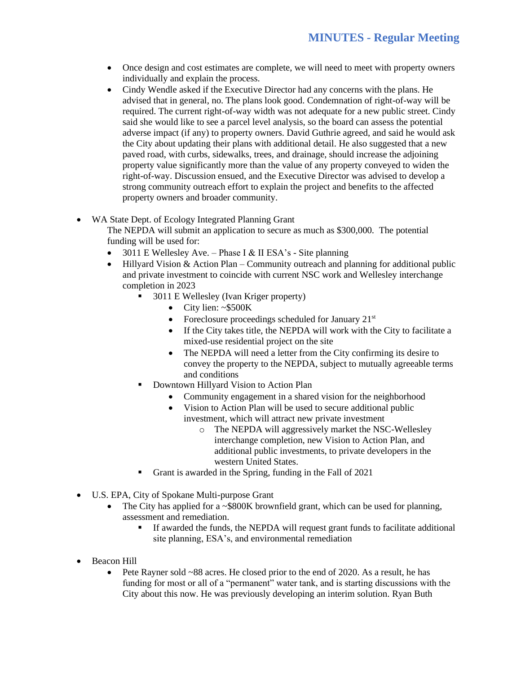- Once design and cost estimates are complete, we will need to meet with property owners individually and explain the process.
- Cindy Wendle asked if the Executive Director had any concerns with the plans. He advised that in general, no. The plans look good. Condemnation of right-of-way will be required. The current right-of-way width was not adequate for a new public street. Cindy said she would like to see a parcel level analysis, so the board can assess the potential adverse impact (if any) to property owners. David Guthrie agreed, and said he would ask the City about updating their plans with additional detail. He also suggested that a new paved road, with curbs, sidewalks, trees, and drainage, should increase the adjoining property value significantly more than the value of any property conveyed to widen the right-of-way. Discussion ensued, and the Executive Director was advised to develop a strong community outreach effort to explain the project and benefits to the affected property owners and broader community.
- WA State Dept. of Ecology Integrated Planning Grant

The NEPDA will submit an application to secure as much as \$300,000. The potential funding will be used for:

- 3011 E Wellesley Ave. Phase I & II ESA's Site planning
- Hillyard Vision  $&$  Action Plan Community outreach and planning for additional public and private investment to coincide with current NSC work and Wellesley interchange completion in 2023
	- 3011 E Wellesley (Ivan Kriger property)
		- City lien: ~\$500K
		- Foreclosure proceedings scheduled for January  $21^{st}$
		- If the City takes title, the NEPDA will work with the City to facilitate a mixed-use residential project on the site
		- The NEPDA will need a letter from the City confirming its desire to convey the property to the NEPDA, subject to mutually agreeable terms and conditions
	- Downtown Hillyard Vision to Action Plan
		- Community engagement in a shared vision for the neighborhood
		- Vision to Action Plan will be used to secure additional public investment, which will attract new private investment
			- o The NEPDA will aggressively market the NSC-Wellesley interchange completion, new Vision to Action Plan, and additional public investments, to private developers in the western United States.
	- Grant is awarded in the Spring, funding in the Fall of 2021
- U.S. EPA, City of Spokane Multi-purpose Grant
	- The City has applied for a ~\$800K brownfield grant, which can be used for planning, assessment and remediation.
		- If awarded the funds, the NEPDA will request grant funds to facilitate additional site planning, ESA's, and environmental remediation
- Beacon Hill
	- Pete Rayner sold ~88 acres. He closed prior to the end of 2020. As a result, he has funding for most or all of a "permanent" water tank, and is starting discussions with the City about this now. He was previously developing an interim solution. Ryan Buth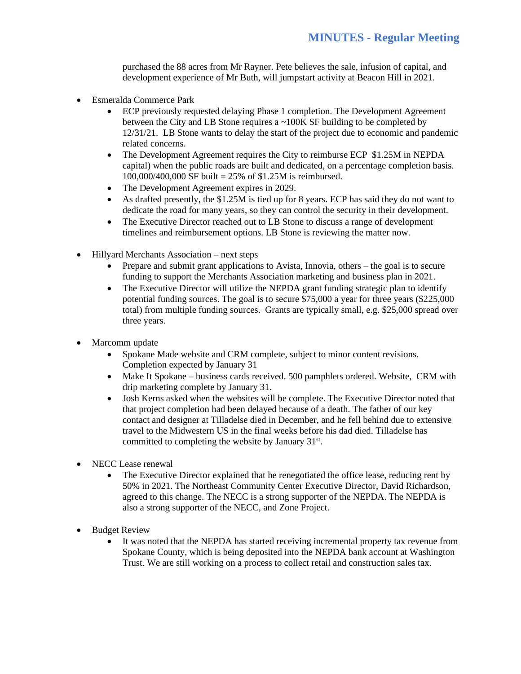purchased the 88 acres from Mr Rayner. Pete believes the sale, infusion of capital, and development experience of Mr Buth, will jumpstart activity at Beacon Hill in 2021.

- Esmeralda Commerce Park
	- ECP previously requested delaying Phase 1 completion. The Development Agreement between the City and LB Stone requires a ~100K SF building to be completed by 12/31/21. LB Stone wants to delay the start of the project due to economic and pandemic related concerns.
	- The Development Agreement requires the City to reimburse ECP \$1.25M in NEPDA capital) when the public roads are built and dedicated, on a percentage completion basis. 100,000/400,000 SF built = 25% of \$1.25M is reimbursed.
	- The Development Agreement expires in 2029.
	- As drafted presently, the \$1.25M is tied up for 8 years. ECP has said they do not want to dedicate the road for many years, so they can control the security in their development.
	- The Executive Director reached out to LB Stone to discuss a range of development timelines and reimbursement options. LB Stone is reviewing the matter now.
- Hillyard Merchants Association next steps
	- Prepare and submit grant applications to Avista, Innovia, others the goal is to secure funding to support the Merchants Association marketing and business plan in 2021.
	- The Executive Director will utilize the NEPDA grant funding strategic plan to identify potential funding sources. The goal is to secure \$75,000 a year for three years (\$225,000 total) from multiple funding sources. Grants are typically small, e.g. \$25,000 spread over three years.
- Marcomm update
	- Spokane Made website and CRM complete, subject to minor content revisions. Completion expected by January 31
	- Make It Spokane business cards received. 500 pamphlets ordered. Website, CRM with drip marketing complete by January 31.
	- Josh Kerns asked when the websites will be complete. The Executive Director noted that that project completion had been delayed because of a death. The father of our key contact and designer at Tilladelse died in December, and he fell behind due to extensive travel to the Midwestern US in the final weeks before his dad died. Tilladelse has committed to completing the website by January  $31<sup>st</sup>$ .
- NECC Lease renewal
	- The Executive Director explained that he renegotiated the office lease, reducing rent by 50% in 2021. The Northeast Community Center Executive Director, David Richardson, agreed to this change. The NECC is a strong supporter of the NEPDA. The NEPDA is also a strong supporter of the NECC, and Zone Project.
- **Budget Review** 
	- It was noted that the NEPDA has started receiving incremental property tax revenue from Spokane County, which is being deposited into the NEPDA bank account at Washington Trust. We are still working on a process to collect retail and construction sales tax.